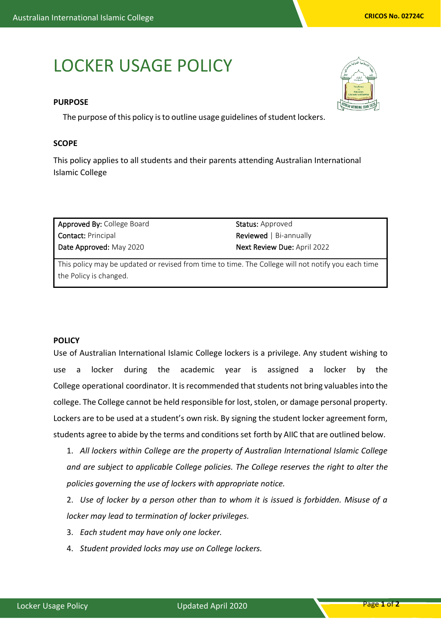## LOCKER USAGE POLICY

## **PURPOSE**

The purpose of this policy is to outline usage guidelines of student lockers.

## **SCOPE**

This policy applies to all students and their parents attending Australian International Islamic College

| Approved By: College Board | <b>Status:</b> Approved       |
|----------------------------|-------------------------------|
| <b>Contact: Principal</b>  | <b>Reviewed</b>   Bi-annually |
| Date Approved: May 2020    | Next Review Due: April 2022   |
|                            |                               |

This policy may be updated or revised from time to time. The College will not notify you each time the Policy is changed.

## **POLICY**

Use of Australian International Islamic College lockers is a privilege. Any student wishing to use a locker during the academic year is assigned a locker by the College operational coordinator. It is recommended that students not bring valuables into the college. The College cannot be held responsible for lost, stolen, or damage personal property. Lockers are to be used at a student's own risk. By signing the student locker agreement form, students agree to abide by the terms and conditions set forth by AIIC that are outlined below.

1. *All lockers within College are the property of Australian International Islamic College and are subject to applicable College policies. The College reserves the right to alter the policies governing the use of lockers with appropriate notice.*

2. *Use of locker by a person other than to whom it is issued is forbidden. Misuse of a locker may lead to termination of locker privileges.*

- 3. *Each student may have only one locker.*
- 4. *Student provided locks may use on College lockers.*